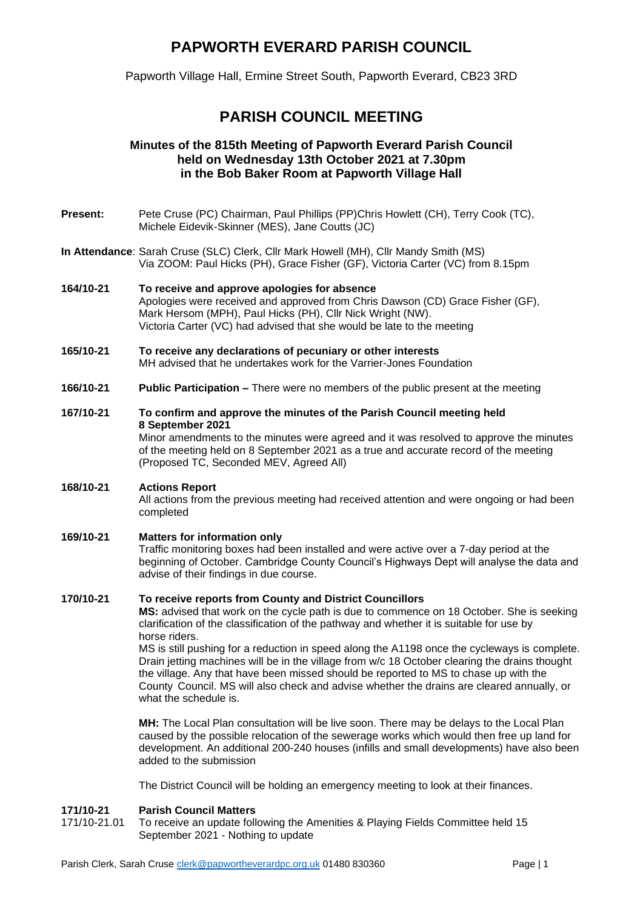# **PAPWORTH EVERARD PARISH COUNCIL**

Papworth Village Hall, Ermine Street South, Papworth Everard, CB23 3RD

# **PARISH COUNCIL MEETING**

## **Minutes of the 815th Meeting of Papworth Everard Parish Council held on Wednesday 13th October 2021 at 7.30pm in the Bob Baker Room at Papworth Village Hall**

- **Present:** Pete Cruse (PC) Chairman, Paul Phillips (PP)Chris Howlett (CH), Terry Cook (TC), Michele Eidevik-Skinner (MES), Jane Coutts (JC)
- **In Attendance**: Sarah Cruse (SLC) Clerk, Cllr Mark Howell (MH), Cllr Mandy Smith (MS) Via ZOOM: Paul Hicks (PH), Grace Fisher (GF), Victoria Carter (VC) from 8.15pm
- **164/10-21 To receive and approve apologies for absence**  Apologies were received and approved from Chris Dawson (CD) Grace Fisher (GF), Mark Hersom (MPH), Paul Hicks (PH), Cllr Nick Wright (NW). Victoria Carter (VC) had advised that she would be late to the meeting
- **165/10-21 To receive any declarations of pecuniary or other interests**  MH advised that he undertakes work for the Varrier-Jones Foundation
- **166/10-21 Public Participation –** There were no members of the public present at the meeting

# **167/10-21 To confirm and approve the minutes of the Parish Council meeting held 8 September 2021**

Minor amendments to the minutes were agreed and it was resolved to approve the minutes of the meeting held on 8 September 2021 as a true and accurate record of the meeting (Proposed TC, Seconded MEV, Agreed All)

## **168/10-21 Actions Report**

All actions from the previous meeting had received attention and were ongoing or had been completed

## **169/10-21 Matters for information only**

Traffic monitoring boxes had been installed and were active over a 7-day period at the beginning of October. Cambridge County Council's Highways Dept will analyse the data and advise of their findings in due course.

## **170/10-21 To receive reports from County and District Councillors**

**MS:** advised that work on the cycle path is due to commence on 18 October. She is seeking clarification of the classification of the pathway and whether it is suitable for use by horse riders.

MS is still pushing for a reduction in speed along the A1198 once the cycleways is complete. Drain jetting machines will be in the village from w/c 18 October clearing the drains thought the village. Any that have been missed should be reported to MS to chase up with the County Council. MS will also check and advise whether the drains are cleared annually, or what the schedule is.

**MH:** The Local Plan consultation will be live soon. There may be delays to the Local Plan caused by the possible relocation of the sewerage works which would then free up land for development. An additional 200-240 houses (infills and small developments) have also been added to the submission

The District Council will be holding an emergency meeting to look at their finances.

# **171/10-21 Parish Council Matters**

To receive an update following the Amenities & Playing Fields Committee held 15 September 2021 - Nothing to update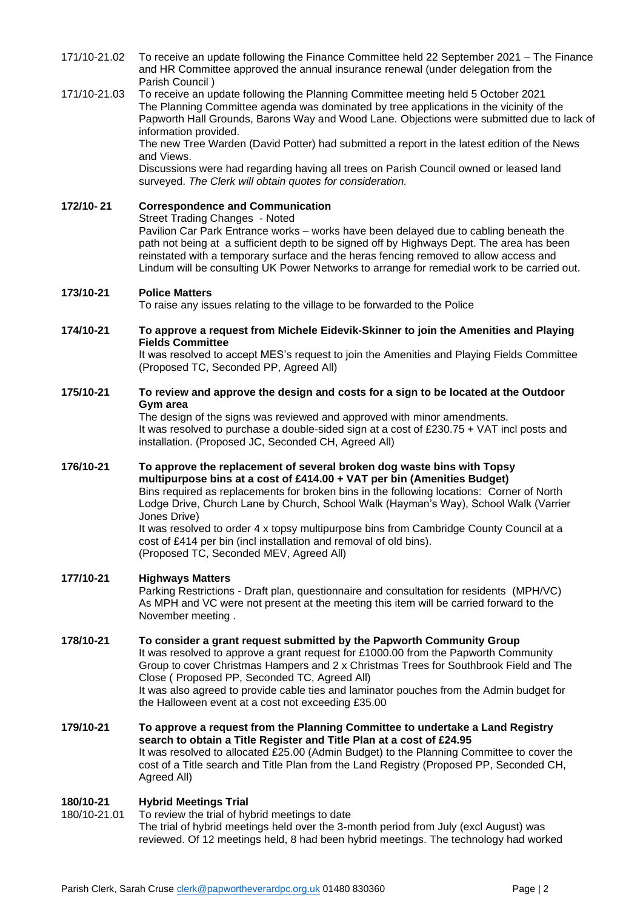- 171/10-21.02 To receive an update following the Finance Committee held 22 September 2021 The Finance and HR Committee approved the annual insurance renewal (under delegation from the Parish Council )
- 171/10-21.03 To receive an update following the Planning Committee meeting held 5 October 2021 The Planning Committee agenda was dominated by tree applications in the vicinity of the Papworth Hall Grounds, Barons Way and Wood Lane. Objections were submitted due to lack of information provided.

The new Tree Warden (David Potter) had submitted a report in the latest edition of the News and Views.

Discussions were had regarding having all trees on Parish Council owned or leased land surveyed. *The Clerk will obtain quotes for consideration.*

#### **172/10- 21 Correspondence and Communication**  Street Trading Changes - Noted

Pavilion Car Park Entrance works – works have been delayed due to cabling beneath the path not being at a sufficient depth to be signed off by Highways Dept. The area has been reinstated with a temporary surface and the heras fencing removed to allow access and

Lindum will be consulting UK Power Networks to arrange for remedial work to be carried out.

## **173/10-21 Police Matters**

To raise any issues relating to the village to be forwarded to the Police

#### **174/10-21 To approve a request from Michele Eidevik-Skinner to join the Amenities and Playing Fields Committee**

It was resolved to accept MES's request to join the Amenities and Playing Fields Committee (Proposed TC, Seconded PP, Agreed All)

#### **175/10-21 To review and approve the design and costs for a sign to be located at the Outdoor Gym area**

The design of the signs was reviewed and approved with minor amendments. It was resolved to purchase a double-sided sign at a cost of £230.75 + VAT incl posts and installation. (Proposed JC, Seconded CH, Agreed All)

#### **176/10-21 To approve the replacement of several broken dog waste bins with Topsy multipurpose bins at a cost of £414.00 + VAT per bin (Amenities Budget)**

Bins required as replacements for broken bins in the following locations: Corner of North Lodge Drive, Church Lane by Church, School Walk (Hayman's Way), School Walk (Varrier Jones Drive)

It was resolved to order 4 x topsy multipurpose bins from Cambridge County Council at a cost of £414 per bin (incl installation and removal of old bins). (Proposed TC, Seconded MEV, Agreed All)

## **177/10-21 Highways Matters**

Parking Restrictions - Draft plan, questionnaire and consultation for residents (MPH/VC) As MPH and VC were not present at the meeting this item will be carried forward to the November meeting .

#### **178/10-21 To consider a grant request submitted by the Papworth Community Group**

It was resolved to approve a grant request for £1000.00 from the Papworth Community Group to cover Christmas Hampers and 2 x Christmas Trees for Southbrook Field and The Close ( Proposed PP, Seconded TC, Agreed All) It was also agreed to provide cable ties and laminator pouches from the Admin budget for

the Halloween event at a cost not exceeding £35.00

**179/10-21 To approve a request from the Planning Committee to undertake a Land Registry search to obtain a Title Register and Title Plan at a cost of £24.95** It was resolved to allocated £25.00 (Admin Budget) to the Planning Committee to cover the cost of a Title search and Title Plan from the Land Registry (Proposed PP, Seconded CH, Agreed All)

## **180/10-21 Hybrid Meetings Trial**

180/10-21.01 To review the trial of hybrid meetings to date The trial of hybrid meetings held over the 3-month period from July (excl August) was reviewed. Of 12 meetings held, 8 had been hybrid meetings. The technology had worked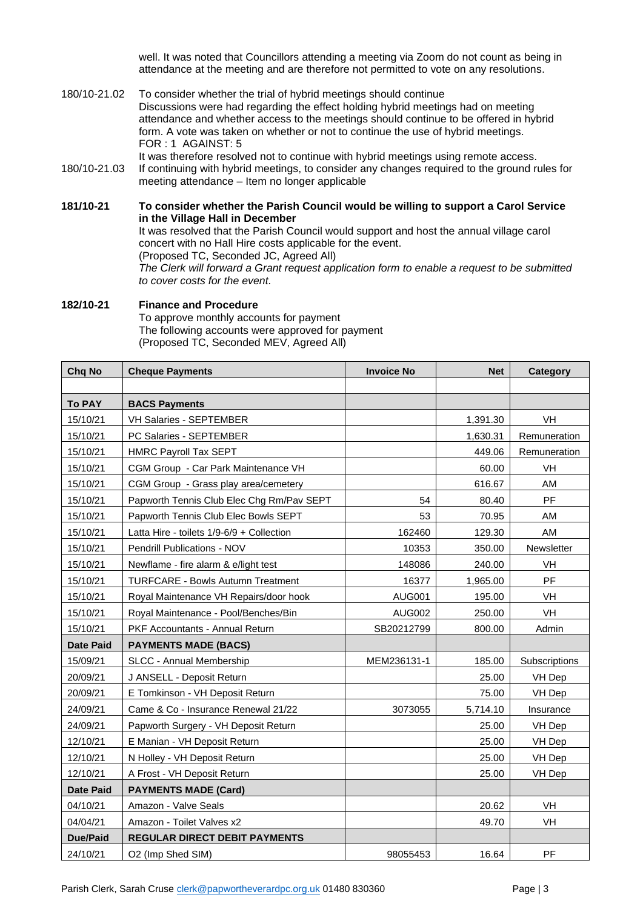well. It was noted that Councillors attending a meeting via Zoom do not count as being in attendance at the meeting and are therefore not permitted to vote on any resolutions.

- 180/10-21.02 To consider whether the trial of hybrid meetings should continue Discussions were had regarding the effect holding hybrid meetings had on meeting attendance and whether access to the meetings should continue to be offered in hybrid form. A vote was taken on whether or not to continue the use of hybrid meetings. FOR : 1 AGAINST: 5 It was therefore resolved not to continue with hybrid meetings using remote access.
- 180/10-21.03 If continuing with hybrid meetings, to consider any changes required to the ground rules for meeting attendance – Item no longer applicable
- **181/10-21 To consider whether the Parish Council would be willing to support a Carol Service in the Village Hall in December** It was resolved that the Parish Council would support and host the annual village carol concert with no Hall Hire costs applicable for the event. (Proposed TC, Seconded JC, Agreed All) *The Clerk will forward a Grant request application form to enable a request to be submitted to cover costs for the event.*

#### **182/10-21 Finance and Procedure**  To approve monthly accounts for payment The following accounts were approved for payment (Proposed TC, Seconded MEV, Agreed All)

| Chq No           | <b>Cheque Payments</b>                    | <b>Invoice No</b> | <b>Net</b> | <b>Category</b> |
|------------------|-------------------------------------------|-------------------|------------|-----------------|
|                  |                                           |                   |            |                 |
| <b>To PAY</b>    | <b>BACS Payments</b>                      |                   |            |                 |
| 15/10/21         | <b>VH Salaries - SEPTEMBER</b>            |                   | 1,391.30   | VH              |
| 15/10/21         | PC Salaries - SEPTEMBER                   |                   | 1,630.31   | Remuneration    |
| 15/10/21         | <b>HMRC Payroll Tax SEPT</b>              |                   | 449.06     | Remuneration    |
| 15/10/21         | CGM Group - Car Park Maintenance VH       |                   | 60.00      | VH              |
| 15/10/21         | CGM Group - Grass play area/cemetery      |                   | 616.67     | AM              |
| 15/10/21         | Papworth Tennis Club Elec Chg Rm/Pav SEPT | 54                | 80.40      | PF              |
| 15/10/21         | Papworth Tennis Club Elec Bowls SEPT      | 53                | 70.95      | AM              |
| 15/10/21         | Latta Hire - toilets 1/9-6/9 + Collection | 162460            | 129.30     | AM              |
| 15/10/21         | Pendrill Publications - NOV               | 10353             | 350.00     | Newsletter      |
| 15/10/21         | Newflame - fire alarm & e/light test      | 148086            | 240.00     | VH              |
| 15/10/21         | <b>TURFCARE - Bowls Autumn Treatment</b>  | 16377             | 1,965.00   | <b>PF</b>       |
| 15/10/21         | Royal Maintenance VH Repairs/door hook    | <b>AUG001</b>     | 195.00     | VH              |
| 15/10/21         | Royal Maintenance - Pool/Benches/Bin      | <b>AUG002</b>     | 250.00     | VH              |
| 15/10/21         | PKF Accountants - Annual Return           | SB20212799        | 800.00     | Admin           |
| <b>Date Paid</b> | <b>PAYMENTS MADE (BACS)</b>               |                   |            |                 |
| 15/09/21         | SLCC - Annual Membership                  | MEM236131-1       | 185.00     | Subscriptions   |
| 20/09/21         | J ANSELL - Deposit Return                 |                   | 25.00      | VH Dep          |
| 20/09/21         | E Tomkinson - VH Deposit Return           |                   | 75.00      | VH Dep          |
| 24/09/21         | Came & Co - Insurance Renewal 21/22       | 3073055           | 5,714.10   | Insurance       |
| 24/09/21         | Papworth Surgery - VH Deposit Return      |                   | 25.00      | VH Dep          |
| 12/10/21         | E Manian - VH Deposit Return              |                   | 25.00      | VH Dep          |
| 12/10/21         | N Holley - VH Deposit Return              |                   | 25.00      | VH Dep          |
| 12/10/21         | A Frost - VH Deposit Return               |                   | 25.00      | VH Dep          |
| <b>Date Paid</b> | <b>PAYMENTS MADE (Card)</b>               |                   |            |                 |
| 04/10/21         | Amazon - Valve Seals                      |                   | 20.62      | <b>VH</b>       |
| 04/04/21         | Amazon - Toilet Valves x2                 |                   | 49.70      | VH              |
| <b>Due/Paid</b>  | <b>REGULAR DIRECT DEBIT PAYMENTS</b>      |                   |            |                 |
| 24/10/21         | O2 (Imp Shed SIM)                         | 98055453          | 16.64      | PF              |